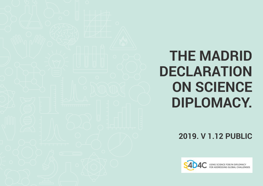#### **THE MADRID DECLARATION ON SCIENCE DIPLOMACY.**

**2019. V 1.12 PUBLIC**

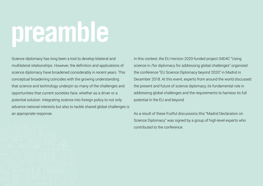## **preamble**

Science diplomacy has long been a tool to develop bilateral and multilateral relationships. However, the definition and applications of science diplomacy have broadened considerably in recent years. This conceptual broadening coincides with the growing understanding that science and technology underpin so many of the challenges and opportunities that current societies face, whether as a driver or a potential solution. Integrating science into foreign policy to not only advance national interests but also to tackle shared global challenges is an appropriate response.

In this context, the EU Horizon 2020-funded project S4D4C "Using science in /for diplomacy for addressing global challenges" organized the conference "EU Science Diplomacy beyond 2020" in Madrid in December 2018. At this event, experts from around the world discussed the present and future of science diplomacy, its fundamental role in addressing global challenges and the requirements to harness its full potential in the EU and beyond.

As a result of these fruitful discussions this "Madrid Declaration on Science Diplomacy" was signed by a group of high-level experts who contributed to the conference.

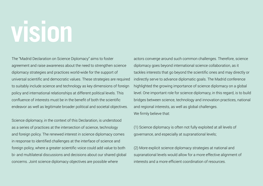# **vision**

The "Madrid Declaration on Science Diplomacy" aims to foster agreement and raise awareness about the need to strengthen science diplomacy strategies and practices world-wide for the support of universal scientific and democratic values. These strategies are required to suitably include science and technology as key dimensions of foreign policy and international relationships at different political levels. This confluence of interests must be in the benefit of both the scientific endeavor as well as legitimate broader political and societal objectives.

Science diplomacy, in the context of this Declaration, is understood as a series of practices at the intersection of science, technology and foreign policy. The renewed interest in science diplomacy comes in response to identified challenges at the interface of science and foreign policy, where a greater scientific voice could add value to both bi- and multilateral discussions and decisions about our shared global concerns. Joint science diplomacy objectives are possible where

actors converge around such common challenges. Therefore, science diplomacy goes beyond international science collaboration, as it tackles interests that go beyond the scientific ones and may directly or indirectly serve to advance diplomatic goals. The Madrid conference highlighted the growing importance of science diplomacy on a global level. One important role for science diplomacy, in this regard, is to build bridges between science, technology and innovation practices, national and regional interests, as well as global challenges. We firmly believe that:

(1) Science diplomacy is often not fully exploited at all levels of governance, and especially at supranational levels;

(2) More explicit science diplomacy strategies at national and supranational levels would allow for a more effective alignment of interests and a more efficient coordination of resources.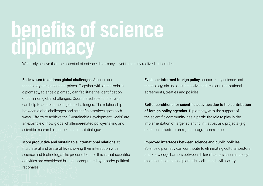### **benefits of science diplomacy**

We firmly believe that the potential of science diplomacy is yet to be fully realized. It includes:

Endeavours to address global challenges. Science and technology are global enterprises. Together with other tools in diplomacy, science diplomacy can facilitate the identification of common global challenges. Coordinated scientific efforts can help to address these global challenges. The relationship between global challenges and scientific practices goes both ways. Efforts to achieve the "Sustainable Development Goals" are an example of how global challenge-related policy-making and scientific research must be in constant dialogue.

More productive and sustainable international relations at multilateral and bilateral levels owing their interaction with science and technology. The precondition for this is that scientific activities are considered but not appropriated by broader political rationales.

Evidence-informed foreign policy supported by science and technology, aiming at substantive and resilient international agreements, treaties and policies.

Better conditions for scientific activities due to the contribution of foreign policy agendas. Diplomacy, with the support of the scientific community, has a particular role to play in the implementation of larger scientific initiatives and projects (e.g. research infrastructures, joint programmes, etc.).

#### Improved interfaces between science and public policies.

Science diplomacy can contribute to eliminating cultural, sectoral, and knowledge barriers between different actors such as policymakers, researchers, diplomatic bodies and civil society.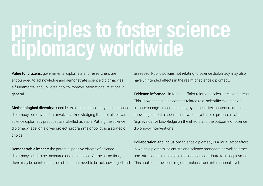## **principles to foster science diplomacy worldwide**

Value for citizens: governments, diplomats and researchers are encouraged to acknowledge and demonstrate science diplomacy as a fundamental and universal tool to improve international relations in general.

Methodological diversity: consider explicit and implicit types of science diplomacy objectives. This involves acknowledging that not all relevant science diplomacy practices are labelled as such. Putting the science diplomacy label on a given project, programme or policy is a strategic choice.

Demonstrable impact: the potential positive effects of science diplomacy need to be measured and recognized. At the same time, there may be unintended side effects that need to be acknowledged and assessed. Public policies not relating to science diplomacy may also have unintended effects in the realm of science diplomacy.

Evidence-informed: in foreign affairs-related policies in relevant areas. This knowledge can be content-related (e.g. scientific evidence on climate change, global inequality, cyber security), context-related (e.g. knowledge about a specific innovation system) or process-related (e.g. evaluative knowledge on the effects and the outcome of science diplomacy interventions).

Collaboration and inclusion: science diplomacy is a multi-actor effort in which diplomats, scientists and science managers as well as other non- state actors can have a role and can contribute to its deployment. This applies at the local, regional, national and international level.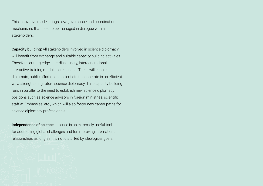This innovative model brings new governance and coordination mechanisms that need to be managed in dialogue with all stakeholders.

Capacity building: All stakeholders involved in science diplomacy will benefit from exchange and suitable capacity building activities. Therefore, cutting-edge, interdisciplinary, intergenerational, interactive training modules are needed. These will enable diplomats, public officials and scientists to cooperate in an efficient way, strengthening future science diplomacy. This capacity building runs in parallel to the need to establish new science diplomacy positions such as science advisors in foreign ministries, scientific staff at Embassies, etc., which will also foster new career paths for science diplomacy professionals.

Independence of science: science is an extremely useful tool for addressing global challenges and for improving international relationships as long as it is not distorted by ideological goals.

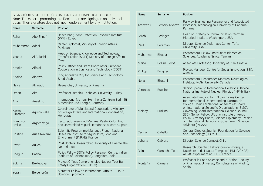| <b>Name</b>         | <b>Surname</b> | <b>Position</b>                                                                                                              |
|---------------------|----------------|------------------------------------------------------------------------------------------------------------------------------|
| Reham               | Abo-Shnaf      | Researcher, Plant Protection Research Institute<br>(PPRI), Egypt                                                             |
| Muhammad            | Adeel          | Career Diplomat, Ministry of Foreign Affairs,<br>Pakistan                                                                    |
| Yousuf              | Al Bulushi     | Head of Science, Knowledge and Technology<br>Transfer Office (SKTT) Ministry of Foreign Affairs,<br>Oman                     |
| Katalin             | Alföldi        | Policy Officer and Grant Coordinator, European<br>Cooperation in Science and Technology (COST)                               |
| Khaled              | Alhazmi        | King Abdulaziz City for Science and Technology,<br>Saudi Arabia                                                              |
| Nelva               | Alvarado       | Researcher, University of Panama                                                                                             |
| Orhan               | Alta           | Professor, Istanbul Technical University, Turkey                                                                             |
| Ana                 | Anselmo        | International Matters, Helmholtz-Zentrum Berlin für<br>Materialien und Energie, Germany                                      |
| Karina<br>Elizabeth | Aquino Valle   | Coordinator of Multilateral Cooperation, Ministry<br>of Foreign Affairs and International Cooperation,<br>Honduras           |
| Francisco<br>Emilio | Argote Vega    | Lecturer, Universidad Mariana, Pasto, Colombia;<br>and Universidad Miguel Hernández, Alicante, Spain                         |
| Cristina            | Arias-Navarro  | Scientific Programme Manager, French National<br>Research Institute for Agriculture, Food and<br>Environment (INRAE), France |
| <b>Fwert</b>        | Aukes          | Post-doctoral Researcher, University of Twente, the<br>Netherlands                                                           |
| Chagun              | Basha          | Policy Fellow, DST's Policy Research Centre, Indian<br>Institute of Science (IISc), Bangalore, India                         |
| Zukhra              | Bektepova      | Project Officer, Comprehensive Nuclear-Test-Ban<br>Treaty Organization (CTBTO)                                               |
| Yoran               | Beldengrün     | Mercator Fellow on International Affairs 18/19 in<br>Science Diplomacy                                                       |

| Name      | Surname         | <b>Position</b>                                                                                                                                                                                                                                                                                                                                                                                                                    |
|-----------|-----------------|------------------------------------------------------------------------------------------------------------------------------------------------------------------------------------------------------------------------------------------------------------------------------------------------------------------------------------------------------------------------------------------------------------------------------------|
| Aranzazu  | Berbery-Alvarez | Railway Engineering Researcher and Associated<br>Professor, Technological University of Panama,<br>Panama                                                                                                                                                                                                                                                                                                                          |
| Sarah     | Beringer        | Head of Strategy & Communication, German<br>Historical Institute Washington, USA                                                                                                                                                                                                                                                                                                                                                   |
| Paul      | <b>Berkman</b>  | Director, Science Diplomacy Center, Tufts<br>University, USA                                                                                                                                                                                                                                                                                                                                                                       |
| Mahantesh | <b>Biradar</b>  | Postdoctoral Fellow, Institute of Biomedical<br>Sciences, Academia Sinica, Taiwan                                                                                                                                                                                                                                                                                                                                                  |
| Marta     | Božina Beroš    | Associate Professor, University of Pula, Croatia                                                                                                                                                                                                                                                                                                                                                                                   |
| Philipp   | Brugner         | Project Manager, Centre for Social Innovation (ZSI),<br>Austria                                                                                                                                                                                                                                                                                                                                                                    |
| Neha      | <b>Bhutani</b>  | Postdoctoral Researcher, Montreal Neurological<br>Institute, McGill University, Canada                                                                                                                                                                                                                                                                                                                                             |
| Veronica  | Buccheri        | Senior Specialist, International Relations Service,<br>National Institute of Nuclear Physics (INFN), Italy                                                                                                                                                                                                                                                                                                                         |
| Melody B. | <b>Burkins</b>  | Associate Director, John Sloan Dickey Center<br>for International Understanding, Dartmouth<br>College. Chair, US National Academies' Board<br>on International Scientific Organizations (BISO).<br>Governing Board, International Science Council<br>(ISC). Senior Fellow, UArctic Institute of Arctic<br>Policy. Advisory Board, Science Diplomacy Division<br>of International Network of Government Science<br>Advisors (INGSA) |
| Cecilia   | Cabello         | General Director, Spanish Foundation for Science<br>and Technology (FECYT)                                                                                                                                                                                                                                                                                                                                                         |
| Johana    | Cabrera         | Director, Science Connect, Chile                                                                                                                                                                                                                                                                                                                                                                                                   |
| Reina     | Camacho Toro    | Research Scientist, Laboratoire de Physique<br>Nucléaire et de Hautes Energies (LPNHE/CNRS),<br>ATLAS experiment at CERN, France                                                                                                                                                                                                                                                                                                   |
| Montaña   | Cámara          | Professor in Food Science and Nutrition, Faculty<br>of Pharmacy, University Complutense of Madrid,<br>Spain                                                                                                                                                                                                                                                                                                                        |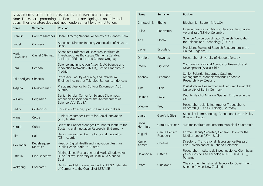| Name               | <b>Surname</b>          | <b>Position</b>                                                                                                                             |  |
|--------------------|-------------------------|---------------------------------------------------------------------------------------------------------------------------------------------|--|
| Franklin           | Carrero-Martínez        | Board Director, National Academy of Sciences, USA                                                                                           |  |
| Isabel             | Carrilero               | Associate Director, Industry Association of Navarra,<br>Spain                                                                               |  |
| María<br>Esmeralda | Castelló Gómez          | Associate Professor of Research, Instituto de<br>Investigaciones Biológicas Clemente Estable,<br>Ministry of Education and Culture, Uruguay |  |
| Sara               | Cebrián                 | Science and Innovation Attaché, UK-Science and<br>Innovation Network (SIN-UK), British Embassy in<br>Madrid                                 |  |
| Siti Khodijah      | Chaerun                 | Professor, Faculty of Mining and Petroleum<br>Engineering, Institut Teknologi Bandung, Indonesia                                            |  |
| Tatjana            | Christelbauer           | President, Agency for Cultural Diplomacy (ACD),<br>Austria                                                                                  |  |
| William            | Colglazier              | Senior Scholar, Center for Science Diplomacy,<br>American Association for the Advancement of<br>Science (AAAS), USA                         |  |
| Pedro              | Cortegoso               | Education Attaché, Spanish Embassy in Brazil                                                                                                |  |
| Marie              | Croce                   | Junior Researcher, Centre for Social Innovation<br>(ZSI), Austria                                                                           |  |
| Kerstin            | Cuhls                   | Scientific Project Manager, Fraunhofer Institute for<br>Systems and Innovation Research ISI, Germany                                        |  |
| Elke               | Dall                    | Senior Researcher, Centre for Social Innovation<br>(ZSI), Austria                                                                           |  |
| Alexander          | Degelsegger-<br>Márquez | Head of Digital Health and Innovation, Austrian<br>Public Health Institute, Austria                                                         |  |
| Estrella           | Díaz Sánchez            | Distinguished Researcher and Marie Skłodowska-<br>Curie Fellow, University of Castilla-La Mancha,<br>Spain                                  |  |
| Wolfgang           | Eberhardt               | Deutsches Elektronen-Synchrotron DESY, delegate<br>of Germany to the Council of SESAME                                                      |  |

| Name               | <b>Surname</b>             | <b>Position</b>                                                                                                   |
|--------------------|----------------------------|-------------------------------------------------------------------------------------------------------------------|
| Christoph S.       | Eberle                     | Biochemist, Boston, MA, USA                                                                                       |
| Luisa              | Echeverría                 | Internationalisation Advisor, Servicio Nacional de<br>Aprendizaje (SENA), Colombia                                |
| Ana                | Elorza                     | Science Advice Coordinator, Spanish Foundation<br>for Science and Technology (FECYT)                              |
| Javier             | Escudero                   | President, Society of Spanish Researchers in the<br>United Kingdom, UK                                            |
| Omololu            | Fawunga                    | Researcher, University of Huddersfield, UK                                                                        |
| Pedro              | Figueroa                   | Coordinator, National Agency for Research and<br>Development (ANID), Chile                                        |
| Andrew             | Fenemor                    | Senior Scientist Integrated Catchment<br>Management, Manaaki Whenua Landcare<br>Research, New Zealand             |
| Tim                | Flink                      | Post-doctoral Researcher and Lecturer, Humboldt<br>University of Berlin, Germany                                  |
| Cristina           | Fraile                     | Deputy Head of Mission, Spanish Embassy in the<br><b>US</b>                                                       |
| Wiebke             | Frey                       | Researcher, Leibniz Institute for Tropospheric<br>Research (TROPOS), Leipzig, Germany                             |
| Laura              | García Ibáñez              | Specialist in Immunology, Cancer and Health Policy,<br>Brussels, Belgium                                          |
| Silvia<br>Herminia | García Martínez            | Auditor, Instituto de Fomento Municipal, Guatemala                                                                |
| Miguel             | García-Herráiz<br>Roobaert | Former Deputy Secretary General, Union for the<br>Mediterranean (UfM), Spain                                      |
| Kemel<br>Ahmed     | Ghotme                     | Director of Translational Neuroscience Research<br>Lab, Universidad de la Sabana, Colombia                        |
| Rolando A          | Gittens                    | Researcher, Instituto de Investigaciones Científicas<br>y Servicios de Alta Tecnología (INDICASAT AIP),<br>Panamá |
| Peter              | Gluckman                   | Chair of the International Network for Government<br>Science Advice, New Zealand                                  |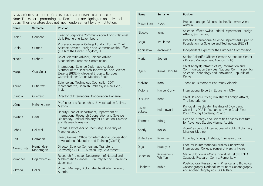| Name         | <b>Surname</b>          | <b>Position</b>                                                                                                                                                                 |  |
|--------------|-------------------------|---------------------------------------------------------------------------------------------------------------------------------------------------------------------------------|--|
| Didier       | Goosens                 | Head of Corporate Communication, Fonds National<br>de la Recherche, Luxembourg                                                                                                  |  |
| Robin        | Grimes                  | Professor, Imperial College London. Former Chief<br>Science Adviser, Foreign and Commonwealth Office<br>(FCO) of the United Kingdom, UK                                         |  |
| Nicole       | Grobert                 | Chief Scientific Advisor, Science Advice<br>Mechanism, European Commission                                                                                                      |  |
| Marga        | <b>Gual Soler</b>       | International Science Diplomacy Advisor,<br>Member of the Research, Innovation, and Science<br>Experts (RISE) High-Level Group to European<br>Commissioner Carlos Moedas, Spain |  |
| Adrián       | Gutiérrez               | Science and Technology Counsellor, CDTI<br>representative, Spanish Embassy in New Delhi,<br>India                                                                               |  |
| Claudia      | Guerrero                | Director of International Cooperation, Panama                                                                                                                                   |  |
| Jürgen       | Haberleithner           | Professor and Researcher, Universidad de Colima,<br>Mexico                                                                                                                      |  |
| Martina      | Hartl                   | Deputy Head of Department, Department of<br>International Research Cooperation and Science<br>Diplomacy, Federal Ministry for Education, Science<br>and Research, Austria       |  |
| John R.      | Helliwell               | Emeritus Professor of Chemistry, University of<br>Manchester, UK                                                                                                                |  |
| Ralf         | Hermann                 | Head, German Office for International Cooperation<br>in Vocational Education and Training (GOVET)                                                                               |  |
| Alma Cristal | Hernández-<br>Mondragón | Director, Science, Centers and Transfer of<br>Knowledge, SECTEI, México City Government                                                                                         |  |
| Mirabbos     | Hojamberdiev            | Research Professor, Department of Natural and<br>Mathematic Sciences, Turin Polytechnic University,<br>Uzbekistan                                                               |  |
| Viktoria     | Holler                  | Project Manager, Diplomatische Akademie Wien,<br>Austria                                                                                                                        |  |

| Name            | <b>Surname</b>                                                                 | <b>Position</b>                                                                                                                                               |  |
|-----------------|--------------------------------------------------------------------------------|---------------------------------------------------------------------------------------------------------------------------------------------------------------|--|
| Maximilian      | <b>Huck</b>                                                                    | Project manager, Diplomatische Akademie Wien,<br>Austria                                                                                                      |  |
| Niccolò         | lorno                                                                          | Science Officer, Swiss Federal Department Foreign<br>Affairs, Switzerland                                                                                     |  |
| <b>Borja</b>    | Izquierdo                                                                      | Director, International Science Department, Spanish<br>Foundation for Science and Technology (FECYT)                                                          |  |
| Agnieszka       | Jarzewicz                                                                      | Independent Expert for the European Commission                                                                                                                |  |
| Maria           | Josten                                                                         | Senior Scientific Officer, German Aerospace Center<br>/ Project Management Agency (DLR)                                                                       |  |
| Cyrus           | Kamau Kihuha                                                                   | Chief Analyst; Infrastructure, Information and<br>Communication Services; National Commission for<br>Science, Technology and Innovation, Republic of<br>Kenya |  |
| Malvina         | Karaj                                                                          | Technical Director of Pharmacy, Albania                                                                                                                       |  |
| Victoria        | Kayser-Cuny                                                                    | International Expert in Education, USA                                                                                                                        |  |
| Dirk-Jan        | Chief Science Officer, Ministry of Foreign Affairs,<br>Koch<br>The Netherlands |                                                                                                                                                               |  |
| Jacek<br>Łukasz | Kolanowski                                                                     | Principal Investigator, Institute of Bioorganic<br>Chemistry PAS in Poznan, and Vice-Chair-Elect<br>Polish Young Academy, Poland                              |  |
| Thomas          | König                                                                          | Head of Strategy and Scientific Services, Institute<br>for Advanced Studies Vienna, Austria                                                                   |  |
| Andriy          | Kozka                                                                          | Vice-President of International of Public Diplomacy<br>Mission, Ukraine                                                                                       |  |
| R. Andreas      | Kraemer                                                                        | Founder, Ecologic Institute, European Union                                                                                                                   |  |
| Olga            | Krasnyak                                                                       | Lecturer in International Studies, Underwood<br>International College, Yonsei University, Korea                                                               |  |
| Radenka         | Krsmanović<br>Whiffen                                                          | Marie Skłodowska-Curie Individual Fellow, ENEA<br>Casaccia Research Centre, Rome, Italy                                                                       |  |
| Elisabeth       | Kubin                                                                          | Postdoctoral Researcher in Physical and Biological<br>Oceanography, National Institute of Oceanography<br>and Applied Geophysics (OGS), Italy                 |  |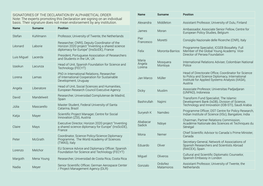| Name        | <b>Surname</b> | <b>Position</b>                                                                                                                             |
|-------------|----------------|---------------------------------------------------------------------------------------------------------------------------------------------|
| Stefan      | Kuhlmann       | Professor, University of Twente, the Netherlands                                                                                            |
| Léonard     | Laborie        | Researcher, CNRS, Deputy Coordinator of the<br>Horizon 2020 project "Inventing a shared science<br>diplomacy for Europe" (InsSciDE), France |
| Luis Miguel | Lacerda        | President, Portuguese Association of Researchers<br>and Students in the UK, UK                                                              |
| Izaskun     | Lacunza        | Head of Unit, Spanish Foundation for Science and<br>Technology (FECYT)                                                                      |
| Lorena      | Lamas          | PhD in International Relations, Researcher<br>of International Cooperation for Sustainable<br>Development, Uruguay                          |
| Angela      | Liberatore     | Head of Unit, Social Sciences and Humanities,<br>European Research Council Executive Agency                                                 |
| David       | Mandelweit     | Researcher, Universidad Complutense de Madrid,<br>Spain                                                                                     |
| Júlia       | Mascarello     | Master Student, Federal University of Santa<br>Catarina, Brazil                                                                             |
| Katja       | Mayer          | Scientific Project Manager, Centre for Social<br>Innovation (ZSI), Austria                                                                  |
| Claire      | Mays           | Executive Director, Horizon 2020 project "Inventing<br>a shared science diplomacy for Europe" (InsSciDE),<br>France                         |
| Peter       | McGrath        | Coordinator, Science Policy/Science Diplomacy<br>Programme, The World Academy of Sciences<br>(TWAS), Italy                                  |
| Lorenzo     | Melchor        | EU Science Advice and Diplomacy Officer, Spanish<br>Foundation for Science and Technology (FECYT)                                           |
| Margoth     | Mena Young     | Researcher, Universidad de Costa Rica, Costa Rica                                                                                           |
| Nadia       | Meyer          | Senior Scientific Officer, German Aerospace Center<br>/ Project Management Agency (DLR)                                                     |

| Name                      | Surname              | <b>Position</b>                                                                                                                                                     |
|---------------------------|----------------------|---------------------------------------------------------------------------------------------------------------------------------------------------------------------|
| Alexandra                 | Middleton            | Assistant Professor, University of Oulu, Finland                                                                                                                    |
| James                     | Moran                | Ambassador, Associate Senior Fellow, Centre for<br>European Policy Studies, Belgium                                                                                 |
| Pier<br>Francesco         | Moretti              | Consiglio Nazionale delle Ricerche (CNR), Italy                                                                                                                     |
| Felix                     | Moronta-Barrios      | Programme Specialist, ICGEB Biosafety. Full<br>Member of the Global Young Academy. Vice-<br>Director of Persea Foundation                                           |
| Maria<br>Ángela<br>Lorena | Mosquera<br>Montoya  | International Relations Adviser, Colombian National<br>Police                                                                                                       |
| Jan Marco                 | Müller               | Head of Directorate Office, Coordinator for Science<br>to Policy and Science Diplomacy, International<br>Institute for Applied Systems Analysis (IIASA),<br>Austria |
| <b>Dicky</b>              | Muslim               | Associate Professor, Universitas Padjadjaran<br>(UNPAD), Indonesia                                                                                                  |
| Bashirullah               | Najimi               | Transform Fund Specialist, The Islamic<br>Development Bank (IsDB), Division of Science,<br>Technology and Innovation (IDB-STI), Saudi Arabia                        |
| Suryesh K                 | Namdeo               | Programme Officer, DST Centre for Policy Research,<br>Indian Institute of Science (IISc), Bangalore, India                                                          |
| Ababacar<br>Sadick        | Ndoye                | Chairman, Partner Relations Commission,<br>Académie Nationale des Sciences et Techniques du<br>Sénégal                                                              |
| Mona                      | Nemer                | Chief Scientific Advisor to Canada's Prime Minister,<br>Canada                                                                                                      |
| Eduardo                   | Oliver               | Secretary-General, Network of Associations of<br>Spanish Researchers and Scientists Abroad<br>(RAICEX), Spain                                                       |
| Miguel                    | Oliveros             | Cultural and Scientific Diplomatic Counselor,<br>Spanish Embassy in London                                                                                          |
| Gonzalo                   | Ordoñez<br>Matamoros | Assistant Professor, University of Twente, the<br>Netherlands                                                                                                       |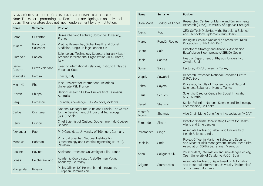| Name             | <b>Surname</b>         | <b>Position</b>                                                                                                    |  |
|------------------|------------------------|--------------------------------------------------------------------------------------------------------------------|--|
| Farah            | Ouechtati              | Researcher and Lecturer, Sorbonne University,<br>France                                                            |  |
| Miriam           | Palacios-<br>Callender | Visiting Researcher, Global Health and Social<br>Medicine, King's College London, UK                               |  |
| Florencia        | Paoloni                | Science and Technology Secretary, Italian - Latin<br>America International Organization (IILA), Roma,<br>Italy     |  |
| Daney<br>Ricardo | Pérez Valeriano        | Head of International Relations, Instituto Finlay de<br>Vacunas, Cuba                                              |  |
| Marinella        | Perosa                 | Trieste, Italy                                                                                                     |  |
| Minh-Hà          | Pham                   | Vice President for International Relations,<br>Université PSL, France                                              |  |
| Steven           | Phipps                 | Senior Research Fellow, University of Tasmania,<br>Australia                                                       |  |
| Sergiu           | Porcescu               | Founder, Knowledge HUB Moldova, Moldova                                                                            |  |
| Carlos           | Quintana               | National Manager for China and Russia, The Centre<br>for the Development of Industrial Technology<br>(CDTI), Spain |  |
| Rémi             | Quirion                | Chief Scientist of Québec, Gouvernment du Québec,<br>Canada                                                        |  |
| Alexander        | Raer                   | PhD Candidate, University of Tübingen, Germany                                                                     |  |
| Moaz ur          | Rahman                 | Principal Scientist, National Institute for<br>Biotechnology and Genetic Engineering (NIBGE),<br>Pakistan          |  |
| Pauline          | Ravinet                | Assistant Professor, University of Lille, France                                                                   |  |
| Jonas            | Reiche-Weiland         | Academic Coordinator, Arab-German Young<br>Academy, Germany                                                        |  |
| Margarida        | Ribeiro                | Policy Officer, DG Research and Innovation,<br>European Commission                                                 |  |

| Name              | <b>Surname</b>  | <b>Position</b>                                                                                                                                |  |
|-------------------|-----------------|------------------------------------------------------------------------------------------------------------------------------------------------|--|
| Gilda Maria       | Rodrigues Lopes | Researcher, Centre for Marine and Environmental<br>Research (CIMA), University of Algarve, Portugal                                            |  |
| Alexis            | Roig            | CEO, SciTech DiploHub - the Barcelona Science<br>and Technology Diplomacy Hub, Spain                                                           |  |
| Marco             | Rondón Robles   | Biologist, Servicio Nacional de Áreas Naturales<br>Protegidas (SERNANP), Perú                                                                  |  |
| Raquel            | Saiz            | Director of Strategy and Analysis, Asociación<br>Española de Bioempresas (ASEBIO), Spain                                                       |  |
| Daniel            | Santos          | Head of Department of Physics, University of<br>Oviedo, Spain                                                                                  |  |
| Gulsen            | Saray           | Lecturer, HBVU University, Turkey                                                                                                              |  |
| Wagdy             | Sawahel         | Research Professor, National Research Centre<br>(NRC), Egypt                                                                                   |  |
| Zehra             | Sayers          | Professor, Faculty of Engineering and Natural<br>Sciences, Sabancı University, Turkey                                                          |  |
| Klaus             | Schuch          | Scientific Director, Centre for Social Innovation<br>(ZSI), Austria                                                                            |  |
| Seyed             | Shahmy          | Senior Scientist, National Science and Technology<br>Commission, Sri Lanka                                                                     |  |
| Mostafa<br>Moonir | Shawray         | Vice-Chair, Marie Curie Alumni Association (MCAA)                                                                                              |  |
| Fernando          | Simón           | Director, Spanish Coordinating Centre for Health<br>Alerts and Emergencies                                                                     |  |
| Paramdeep         | Singh           | Associate Professor, Baba Farid University of<br>Health Sciences, India                                                                        |  |
| Daniëlla          | Smit            | Project Officer in Maritime Safety and Security<br>and Disaster Risk Management, Indian Ocean Rim<br>Association (IORA) Secretariat, Mauritius |  |
| Anna              | Soliguer Guix   | PhD Student, Information and Knowledge Society,<br>Open University of Catalunya (UOC), Spain                                                   |  |
| Grigore           | Stamatescu      | Associate Professor, Department of Automation<br>and Industrial Informatics, University "Politehnica"<br>of Bucharest, Romania                 |  |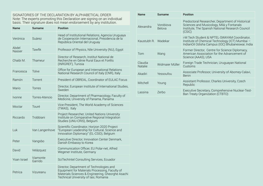| <b>Name</b>     | <b>Surname</b>      | <b>Position</b>                                                                                                                                                                          | Alexandra           | Vorobiova<br>Belova |
|-----------------|---------------------|------------------------------------------------------------------------------------------------------------------------------------------------------------------------------------------|---------------------|---------------------|
| Verónica        | Suárez              | Head of Institutional Relations, Agencia Uruguaya<br>de Cooperación Internacional, Presidencia de la<br>República Oriental del Uruguay                                                   | Kaustubh R. Wadekar |                     |
| Abdel<br>Nasser | Tawfik              | Professor of Physics, Nile University (NU), Egypt                                                                                                                                        |                     |                     |
| Chaibi M.       | Thameur             | Director of Research, Institut National de<br>Recherche en Génie Rural Eaux et Forêts<br>(INRGREF), Tunisia                                                                              | Tom<br>Claudia      | Wang<br>Widmaier I  |
| Francesca       | Tolve               | Office for European and International Relations<br>National Research Council of Italy (CNR), Italy                                                                                       | Natalie<br>Akadiri  | Yessoufou           |
| Ramón           | Torrent             | President of OBREAL, Coordinator of EULAC Focus                                                                                                                                          |                     |                     |
| Mario           | Torres              | Director, European Institute of International Studies,<br>Sweden                                                                                                                         | Mitchell            | Young               |
| <i>Ivonne</i>   | Torres-Atencio      | Director, Department of Pharmacology, Faculty of<br>Medicine, University of Panama, Panama                                                                                               | Lassina             | Zerbo               |
| Moctar          | Touré               | Vice-President, The World Academy of Sciences<br>(TWAS), Italy                                                                                                                           |                     |                     |
| Riccardo        | Trobbiani           | Project Researcher, United Nations University<br>Institute on Comparative Regional Integration<br>Studies (UNU-CRIS), Belgium                                                            |                     |                     |
| Luk             | Van Langenhove      | Scientific Coordinator, Horizon 2020 Project<br>"European Leadership for Cultural, Science and<br>Innovation Diplomacy" (EL-CSID), Belgium                                               |                     |                     |
| Peter           | Vangsbo             | Executive Director, Innovation Center Denmark,<br>Danish Embassy to Korea                                                                                                                |                     |                     |
| David           | Velázquez           | Communication Officer, EU Polar-net, Alfred<br>Wegener Institute, Germany                                                                                                                |                     |                     |
| Yoan Israel     | Viamonte<br>Garrido | SciTechIntel Consulting Services, Ecuador                                                                                                                                                |                     |                     |
| Petrica         | Vizureanu           | Director, Department of Technologies and<br>Equipment for Materials Processing, Faculty of<br>Materials Sciences & Engineering, Gheorghe Asachi<br>Technical University of Iasi, Romania |                     |                     |

| Name                      | Surname             | <b>Position</b>                                                                                                                                             |
|---------------------------|---------------------|-------------------------------------------------------------------------------------------------------------------------------------------------------------|
| Alexandra                 | Vorobiova<br>Belova | Predoctoral Researcher, Department of Historical<br>Sciences and Musicology, Milá y Fontanals<br>Institute, The Spanish National Research Council<br>(CSIC) |
| Kaustubh R.               | <b>Wadekar</b>      | i-M Tech Student & NPTEL-SWAYAM Coordinator,<br>Institute of Chemical Technology (ICT) Mumbai -<br>IndianOil Odisha Campus (IOC) Bhubaneswar, India         |
| Tom                       | Wang                | Former Director, Centre for Science Diplomacy,<br>American Association for the Advancement of<br>Science (AAAS), USA                                        |
| Claudia<br><b>Natalie</b> | Widmaier Müller     | Foreign Trade Technician, Uruguayan National<br>Customs                                                                                                     |
| Akadiri                   | Yessoufou           | Associate Professor, University of Abomey-Calavi,<br>Benin                                                                                                  |
| Mitchell                  | Young               | Assistant Professor, Charles University, Czech<br>Republic                                                                                                  |
| Lassina                   | Zerbo               | Executive Secretary, Comprehensive Nuclear-Test-<br>Ban Treaty Organization (CTBTO)                                                                         |